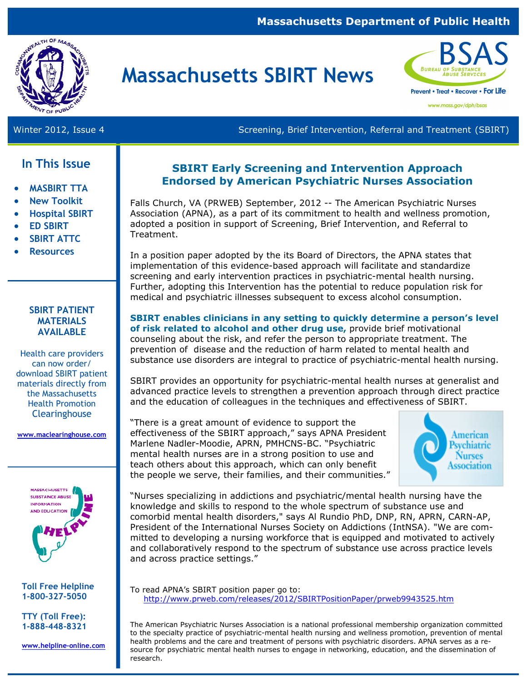#### **Massachusetts Department of Public Health**



# **Massachusetts SBIRT News**



Winter 2012, Issue 4 Screening, Brief Intervention, Referral and Treatment (SBIRT)

### **In This Issue**

- **MASBIRT TTA**
- **New Toolkit**
- **Hospital SBIRT**
- **ED SBIRT**
- **SBIRT ATTC**
- **Resources**

#### **SBIRT PATIENT MATERIALS AVAILABLE**

Health care providers can now order/ download SBIRT patient materials directly from the Massachusetts Health Promotion **Clearinghouse** 

**www.maclearinghouse.com** 



**Toll Free Helpline 1-800-327-5050** 

**TTY (Toll Free): 1-888-448-8321** 

**www.helpline-online.com** 

#### **SBIRT Early Screening and Intervention Approach Endorsed by American Psychiatric Nurses Association**

Falls Church, VA (PRWEB) September, 2012 -- The American Psychiatric Nurses Association (APNA), as a part of its commitment to health and wellness promotion, adopted a position in support of Screening, Brief Intervention, and Referral to Treatment.

In a position paper adopted by the its Board of Directors, the APNA states that implementation of this evidence-based approach will facilitate and standardize screening and early intervention practices in psychiatric-mental health nursing. Further, adopting this Intervention has the potential to reduce population risk for medical and psychiatric illnesses subsequent to excess alcohol consumption.

**SBIRT enables clinicians in any setting to quickly determine a person's level of risk related to alcohol and other drug use,** provide brief motivational counseling about the risk, and refer the person to appropriate treatment. The prevention of disease and the reduction of harm related to mental health and substance use disorders are integral to practice of psychiatric-mental health nursing.

SBIRT provides an opportunity for psychiatric-mental health nurses at generalist and advanced practice levels to strengthen a prevention approach through direct practice and the education of colleagues in the techniques and effectiveness of SBIRT.

"There is a great amount of evidence to support the effectiveness of the SBIRT approach," says APNA President Marlene Nadler-Moodie, APRN, PMHCNS-BC. "Psychiatric mental health nurses are in a strong position to use and teach others about this approach, which can only benefit the people we serve, their families, and their communities."



"Nurses specializing in addictions and psychiatric/mental health nursing have the knowledge and skills to respond to the whole spectrum of substance use and comorbid mental health disorders," says Al Rundio PhD, DNP, RN, APRN, CARN-AP, President of the International Nurses Society on Addictions (IntNSA). "We are committed to developing a nursing workforce that is equipped and motivated to actively and collaboratively respond to the spectrum of substance use across practice levels and across practice settings."

To read APNA's SBIRT position paper go to: http://www.prweb.com/releases/2012/SBIRTPositionPaper/prweb9943525.htm

The American Psychiatric Nurses Association is a national professional membership organization committed to the specialty practice of psychiatric-mental health nursing and wellness promotion, prevention of mental health problems and the care and treatment of persons with psychiatric disorders. APNA serves as a resource for psychiatric mental health nurses to engage in networking, education, and the dissemination of research.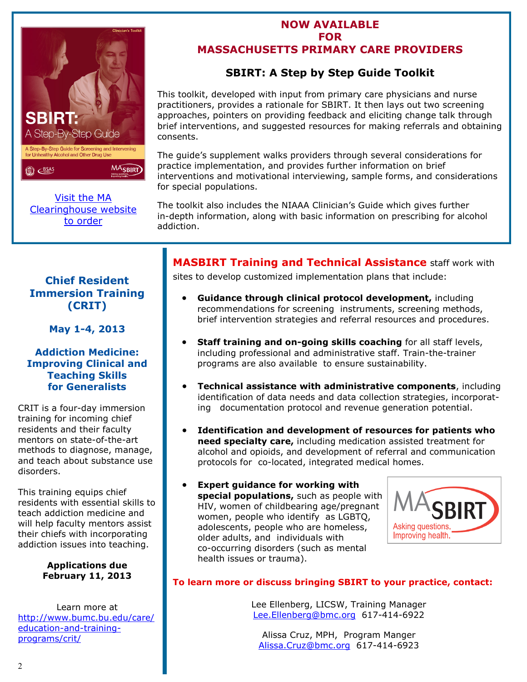

Visit the MA [Clearinghouse website](http://www.maclearinghouse.com/BSASSBIRTPROG/SA3522.html)  to order

#### **NOW AVAILABLE FOR MASSACHUSETTS PRIMARY CARE PROVIDERS**

## **SBIRT: A Step by Step Guide Toolkit**

This toolkit, developed with input from primary care physicians and nurse practitioners, provides a rationale for SBIRT. It then lays out two screening approaches, pointers on providing feedback and eliciting change talk through brief interventions, and suggested resources for making referrals and obtaining consents.

The guide's supplement walks providers through several considerations for practice implementation, and provides further information on brief interventions and motivational interviewing, sample forms, and considerations for special populations.

The toolkit also includes the NIAAA Clinician's Guide which gives further in-depth information, along with basic information on prescribing for alcohol addiction.

#### **Chief Resident Immersion Training (CRIT)**

**May 1-4, 2013** 

#### **Addiction Medicine: Improving Clinical and Teaching Skills for Generalists**

CRIT is a four-day immersion training for incoming chief residents and their faculty mentors on state-of-the-art methods to diagnose, manage, and teach about substance use disorders.

This training equips chief residents with essential skills to teach addiction medicine and will help faculty mentors assist their chiefs with incorporating addiction issues into teaching.

> **Applications due February 11, 2013**

Learn more at [http://www.bumc.bu.edu/care/](http://www.bumc.bu.edu/care/education-and-training-programs/crit/) education-and-trainingprograms/crit/

## **MASBIRT Training and Technical Assistance** staff work with

sites to develop customized implementation plans that include:

- **Guidance through clinical protocol development,** including recommendations for screening instruments, screening methods, brief intervention strategies and referral resources and procedures.
- **Staff training and on-going skills coaching** for all staff levels, including professional and administrative staff. Train-the-trainer programs are also available to ensure sustainability.
- **Technical assistance with administrative components**, including identification of data needs and data collection strategies, incorporating documentation protocol and revenue generation potential.
- **Identification and development of resources for patients who need specialty care,** including medication assisted treatment for alcohol and opioids, and development of referral and communication protocols for co-located, integrated medical homes.
- **Expert guidance for working with special populations,** such as people with HIV, women of childbearing age/pregnant women, people who identify as LGBTQ, adolescents, people who are homeless, older adults, and individuals with co-occurring disorders (such as mental health issues or trauma).



#### **To learn more or discuss bringing SBIRT to your practice, contact:**

Lee Ellenberg, LICSW, Training Manager Lee.Ellenberg@bmc.org 617-414-6922

Alissa Cruz, MPH, Program Manger Alissa.Cruz@bmc.org 617-414-6923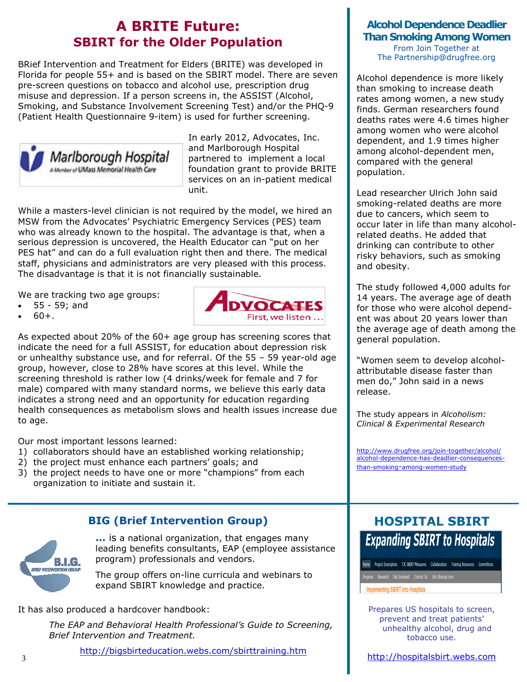## **A BRITE Future: SBIRT for the Older Population**

BRief Intervention and Treatment for Elders (BRITE) was developed in Florida for people 55+ and is based on the SBIRT model. There are seven pre-screen questions on tobacco and alcohol use, prescription drug misuse and depression. If a person screens in, the ASSIST (Alcohol, Smoking, and Substance Involvement Screening Test) and/or the PHQ-9 (Patient Health Questionnaire 9-item) is used for further screening.



In early 2012, Advocates, Inc. and Marlborough Hospital partnered to implement a local foundation grant to provide BRITE services on an in-patient medical unit.

While a masters-level clinician is not required by the model, we hired an MSW from the Advocates' Psychiatric Emergency Services (PES) team who was already known to the hospital. The advantage is that, when a serious depression is uncovered, the Health Educator can "put on her PES hat" and can do a full evaluation right then and there. The medical staff, physicians and administrators are very pleased with this process. The disadvantage is that it is not financially sustainable.

We are tracking two age groups:

- 55 59; and
- $60+.$



As expected about 20% of the 60+ age group has screening scores that indicate the need for a full ASSIST, for education about depression risk or unhealthy substance use, and for referral. Of the 55 – 59 year-old age group, however, close to 28% have scores at this level. While the screening threshold is rather low (4 drinks/week for female and 7 for male) compared with many standard norms, we believe this early data indicates a strong need and an opportunity for education regarding health consequences as metabolism slows and health issues increase due to age.

Our most important lessons learned:

- 1) collaborators should have an established working relationship;
- 2) the project must enhance each partners' goals; and
- 3) the project needs to have one or more "champions" from each organization to initiate and sustain it.

#### **BIG (Brief Intervention Group)**



**...** is a national organization, that engages many leading benefits consultants, EAP (employee assistance program) professionals and vendors.

The group offers on-line curricula and webinars to expand SBIRT knowledge and practice.

It has also produced a hardcover handbook:

 *The EAP and Behavioral Health Professional's Guide to Screening, Brief Intervention and Treatment.* 

<http://bigsbirteducation.webs.com/sbirttraining.htm>

#### **Alcohol Dependence Deadlier Than Smoking Among Women**

From Join Together at The Partnership@drugfree.org

Alcohol dependence is more likely than smoking to increase death rates among women, a new study finds. German researchers found deaths rates were 4.6 times higher among women who were alcohol dependent, and 1.9 times higher among alcohol-dependent men, compared with the general population.

Lead researcher Ulrich John said smoking-related deaths are more due to cancers, which seem to occur later in life than many alcoholrelated deaths. He added that drinking can contribute to other risky behaviors, such as smoking and obesity.

The study followed 4,000 adults for 14 years. The average age of death for those who were alcohol dependent was about 20 years lower than the average age of death among the general population.

"Women seem to develop alcoholattributable disease faster than men do," John said in a news release.

The study appears in *Alcoholism: Clinical & Experimental Research* 

http://www.drugfree.org/join-together/alcohol/ [alcohol-dependence-has-deadlier-consequences](http://www.drugfree.org/join-together/alcohol/alcohol-dependence-has-deadlier-consequences-than-smoking-among-women-study)than-smoking-among-women-study

## **HOSPITAL SBIRT Expanding SBIRT to Hospitals**

Home Project Description TJC SBIRT Measures Collaborators Training Resources Committees

**Implementing SBIRT into Hospitals** 

I

Prepares US hospitals to screen, prevent and treat patients' unhealthy alcohol, drug and tobacco use.